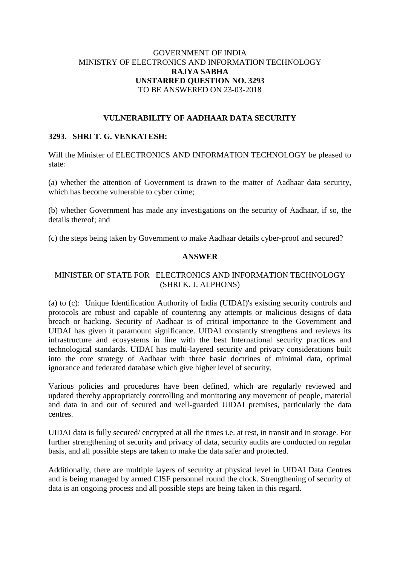## GOVERNMENT OF INDIA MINISTRY OF ELECTRONICS AND INFORMATION TECHNOLOGY **RAJYA SABHA UNSTARRED QUESTION NO. 3293** TO BE ANSWERED ON 23-03-2018

### **VULNERABILITY OF AADHAAR DATA SECURITY**

### **3293. SHRI T. G. VENKATESH:**

Will the Minister of ELECTRONICS AND INFORMATION TECHNOLOGY be pleased to state:

(a) whether the attention of Government is drawn to the matter of Aadhaar data security, which has become vulnerable to cyber crime;

(b) whether Government has made any investigations on the security of Aadhaar, if so, the details thereof; and

(c) the steps being taken by Government to make Aadhaar details cyber-proof and secured?

#### **ANSWER**

# MINISTER OF STATE FOR ELECTRONICS AND INFORMATION TECHNOLOGY (SHRI K. J. ALPHONS)

(a) to (c): Unique Identification Authority of India (UIDAI)'s existing security controls and protocols are robust and capable of countering any attempts or malicious designs of data breach or hacking. Security of Aadhaar is of critical importance to the Government and UIDAI has given it paramount significance. UIDAI constantly strengthens and reviews its infrastructure and ecosystems in line with the best International security practices and technological standards. UIDAI has multi-layered security and privacy considerations built into the core strategy of Aadhaar with three basic doctrines of minimal data, optimal ignorance and federated database which give higher level of security.

Various policies and procedures have been defined, which are regularly reviewed and updated thereby appropriately controlling and monitoring any movement of people, material and data in and out of secured and well-guarded UIDAI premises, particularly the data centres.

UIDAI data is fully secured/ encrypted at all the times i.e. at rest, in transit and in storage. For further strengthening of security and privacy of data, security audits are conducted on regular basis, and all possible steps are taken to make the data safer and protected.

Additionally, there are multiple layers of security at physical level in UIDAI Data Centres and is being managed by armed CISF personnel round the clock. Strengthening of security of data is an ongoing process and all possible steps are being taken in this regard.